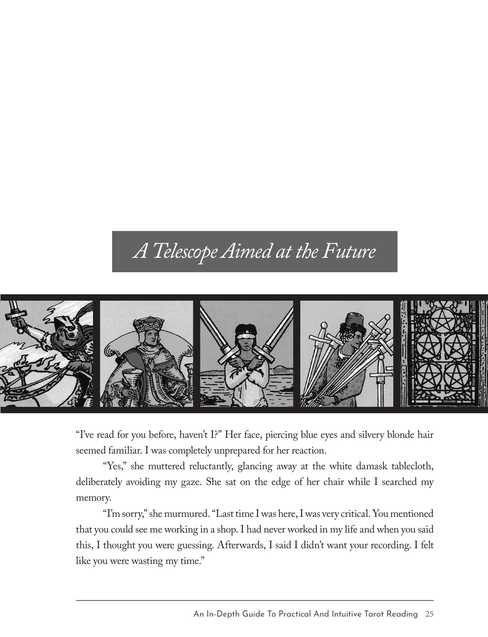## *A Telescope Aimed at the Future*



"I've read for you before, haven't I?" Her face, piercing blue eyes and silvery blonde hair seemed familiar. I was completely unprepared for her reaction.

"Yes," she muttered reluctantly, glancing away at the white damask tablecloth, deliberately avoiding my gaze. She sat on the edge of her chair while I searched my memory.

"I'm sorry," she murmured. "Last time I was here, I was very critical. You mentioned that you could see me working in a shop. I had never worked in my life and when you said this, I thought you were guessing. Afterwards, I said I didn't want your recording. I felt like you were wasting my time."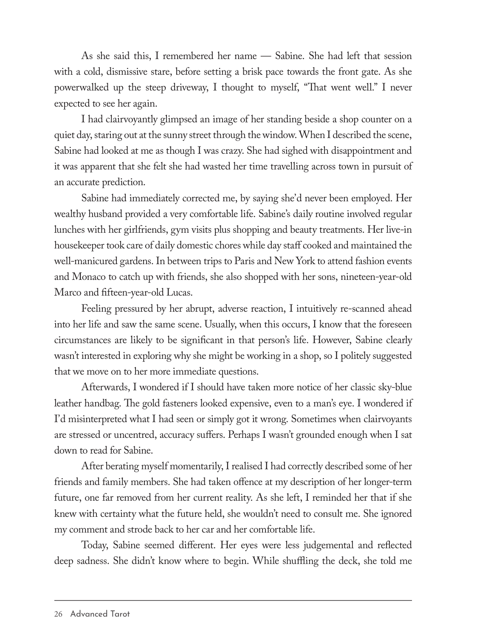As she said this, I remembered her name — Sabine. She had left that session with a cold, dismissive stare, before setting a brisk pace towards the front gate. As she powerwalked up the steep driveway, I thought to myself, "That went well." I never expected to see her again.

I had clairvoyantly glimpsed an image of her standing beside a shop counter on a quiet day, staring out at the sunny street through the window. When I described the scene, Sabine had looked at me as though I was crazy. She had sighed with disappointment and it was apparent that she felt she had wasted her time travelling across town in pursuit of an accurate prediction.

Sabine had immediately corrected me, by saying she'd never been employed. Her wealthy husband provided a very comfortable life. Sabine's daily routine involved regular lunches with her girlfriends, gym visits plus shopping and beauty treatments. Her live-in housekeeper took care of daily domestic chores while day staff cooked and maintained the well-manicured gardens. In between trips to Paris and New York to attend fashion events and Monaco to catch up with friends, she also shopped with her sons, nineteen-year-old Marco and fifteen-year-old Lucas.

Feeling pressured by her abrupt, adverse reaction, I intuitively re-scanned ahead into her life and saw the same scene. Usually, when this occurs, I know that the foreseen circumstances are likely to be significant in that person's life. However, Sabine clearly wasn't interested in exploring why she might be working in a shop, so I politely suggested that we move on to her more immediate questions.

Afterwards, I wondered if I should have taken more notice of her classic sky-blue leather handbag. The gold fasteners looked expensive, even to a man's eye. I wondered if I'd misinterpreted what I had seen or simply got it wrong. Sometimes when clairvoyants are stressed or uncentred, accuracy suffers. Perhaps I wasn't grounded enough when I sat down to read for Sabine.

After berating myself momentarily, I realised I had correctly described some of her friends and family members. She had taken offence at my description of her longer-term future, one far removed from her current reality. As she left, I reminded her that if she knew with certainty what the future held, she wouldn't need to consult me. She ignored my comment and strode back to her car and her comfortable life.

Today, Sabine seemed different. Her eyes were less judgemental and reflected deep sadness. She didn't know where to begin. While shuffling the deck, she told me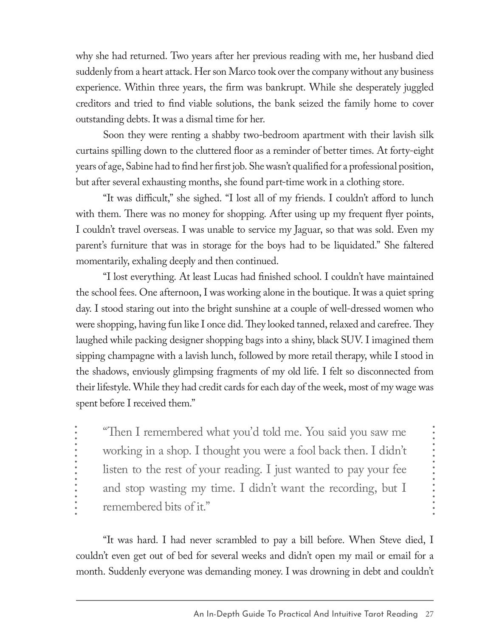why she had returned. Two years after her previous reading with me, her husband died suddenly from a heart attack. Her son Marco took over the company without any business experience. Within three years, the firm was bankrupt. While she desperately juggled creditors and tried to find viable solutions, the bank seized the family home to cover outstanding debts. It was a dismal time for her.

Soon they were renting a shabby two-bedroom apartment with their lavish silk curtains spilling down to the cluttered floor as a reminder of better times. At forty-eight years of age, Sabine had to find her first job. She wasn't qualified for a professional position, but after several exhausting months, she found part-time work in a clothing store.

"It was difficult," she sighed. "I lost all of my friends. I couldn't afford to lunch with them. There was no money for shopping. After using up my frequent flyer points, I couldn't travel overseas. I was unable to service my Jaguar, so that was sold. Even my parent's furniture that was in storage for the boys had to be liquidated." She faltered momentarily, exhaling deeply and then continued.

"I lost everything. At least Lucas had finished school. I couldn't have maintained the school fees. One afternoon, I was working alone in the boutique. It was a quiet spring day. I stood staring out into the bright sunshine at a couple of well-dressed women who were shopping, having fun like I once did. They looked tanned, relaxed and carefree. They laughed while packing designer shopping bags into a shiny, black SUV. I imagined them sipping champagne with a lavish lunch, followed by more retail therapy, while I stood in the shadows, enviously glimpsing fragments of my old life. I felt so disconnected from their lifestyle. While they had credit cards for each day of the week, most of my wage was spent before I received them."

"Then I remembered what you'd told me. You said you saw me working in a shop. I thought you were a fool back then. I didn't listen to the rest of your reading. I just wanted to pay your fee and stop wasting my time. I didn't want the recording, but I remembered bits of it."

"It was hard. I had never scrambled to pay a bill before. When Steve died, I couldn't even get out of bed for several weeks and didn't open my mail or email for a month. Suddenly everyone was demanding money. I was drowning in debt and couldn't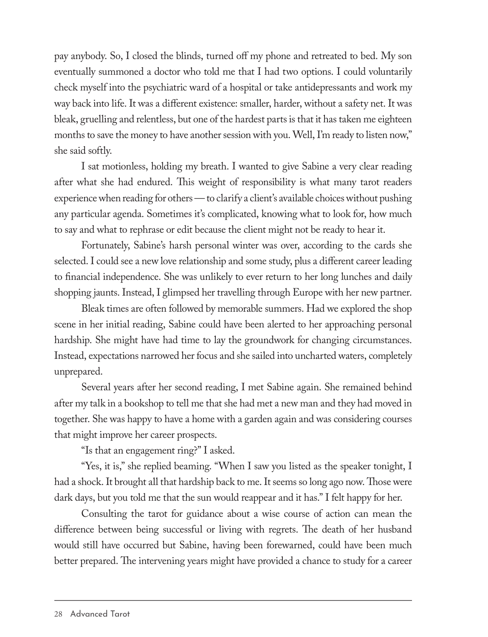pay anybody. So, I closed the blinds, turned off my phone and retreated to bed. My son eventually summoned a doctor who told me that I had two options. I could voluntarily check myself into the psychiatric ward of a hospital or take antidepressants and work my way back into life. It was a different existence: smaller, harder, without a safety net. It was bleak, gruelling and relentless, but one of the hardest parts is that it has taken me eighteen months to save the money to have another session with you. Well, I'm ready to listen now," she said softly.

I sat motionless, holding my breath. I wanted to give Sabine a very clear reading after what she had endured. This weight of responsibility is what many tarot readers experience when reading for others — to clarify a client's available choices without pushing any particular agenda. Sometimes it's complicated, knowing what to look for, how much to say and what to rephrase or edit because the client might not be ready to hear it.

Fortunately, Sabine's harsh personal winter was over, according to the cards she selected. I could see a new love relationship and some study, plus a different career leading to financial independence. She was unlikely to ever return to her long lunches and daily shopping jaunts. Instead, I glimpsed her travelling through Europe with her new partner.

Bleak times are often followed by memorable summers. Had we explored the shop scene in her initial reading, Sabine could have been alerted to her approaching personal hardship. She might have had time to lay the groundwork for changing circumstances. Instead, expectations narrowed her focus and she sailed into uncharted waters, completely unprepared.

Several years after her second reading, I met Sabine again. She remained behind after my talk in a bookshop to tell me that she had met a new man and they had moved in together. She was happy to have a home with a garden again and was considering courses that might improve her career prospects.

"Is that an engagement ring?" I asked.

"Yes, it is," she replied beaming. "When I saw you listed as the speaker tonight, I had a shock. It brought all that hardship back to me. It seems so long ago now. Those were dark days, but you told me that the sun would reappear and it has." I felt happy for her.

Consulting the tarot for guidance about a wise course of action can mean the difference between being successful or living with regrets. The death of her husband would still have occurred but Sabine, having been forewarned, could have been much better prepared. The intervening years might have provided a chance to study for a career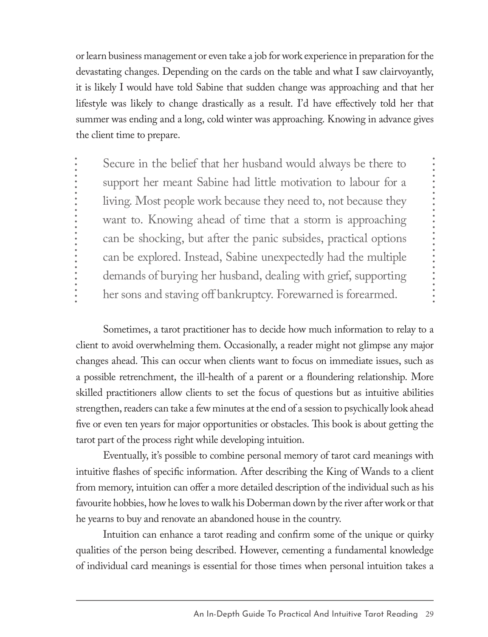or learn business management or even take a job for work experience in preparation for the devastating changes. Depending on the cards on the table and what I saw clairvoyantly, it is likely I would have told Sabine that sudden change was approaching and that her lifestyle was likely to change drastically as a result. I'd have effectively told her that summer was ending and a long, cold winter was approaching. Knowing in advance gives the client time to prepare.

Secure in the belief that her husband would always be there to support her meant Sabine had little motivation to labour for a living. Most people work because they need to, not because they want to. Knowing ahead of time that a storm is approaching can be shocking, but after the panic subsides, practical options can be explored. Instead, Sabine unexpectedly had the multiple demands of burying her husband, dealing with grief, supporting her sons and staving off bankruptcy. Forewarned is forearmed.

Sometimes, a tarot practitioner has to decide how much information to relay to a client to avoid overwhelming them. Occasionally, a reader might not glimpse any major changes ahead. This can occur when clients want to focus on immediate issues, such as a possible retrenchment, the ill-health of a parent or a floundering relationship. More skilled practitioners allow clients to set the focus of questions but as intuitive abilities strengthen, readers can take a few minutes at the end of a session to psychically look ahead five or even ten years for major opportunities or obstacles. This book is about getting the tarot part of the process right while developing intuition.

Eventually, it's possible to combine personal memory of tarot card meanings with intuitive flashes of specific information. After describing the King of Wands to a client from memory, intuition can offer a more detailed description of the individual such as his favourite hobbies, how he loves to walk his Doberman down by the river after work or that he yearns to buy and renovate an abandoned house in the country.

Intuition can enhance a tarot reading and confirm some of the unique or quirky qualities of the person being described. However, cementing a fundamental knowledge of individual card meanings is essential for those times when personal intuition takes a